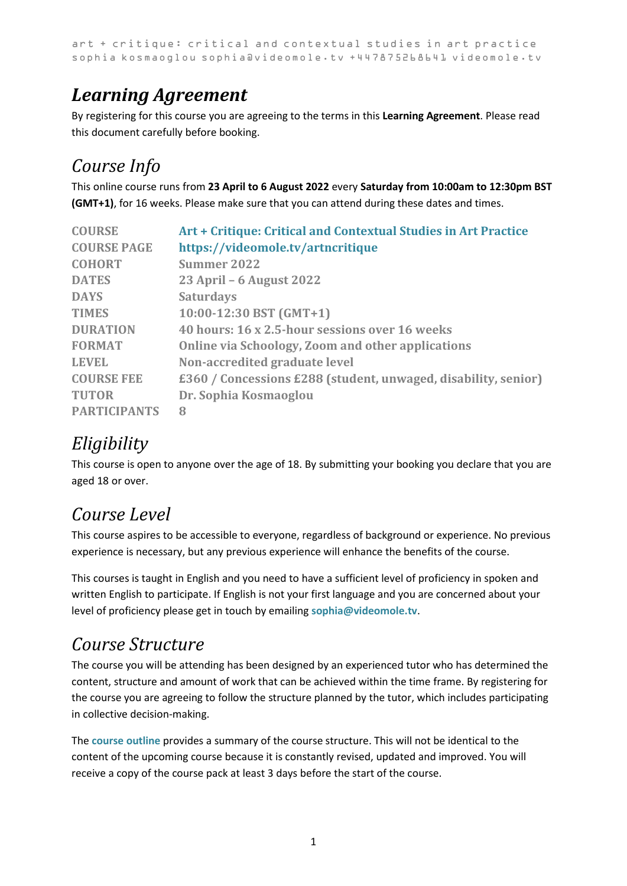# *Learning Agreement*

By registering for this course you are agreeing to the terms in this **Learning Agreement**. Please read this document carefully before booking.

### *Course Info*

This online course runs from **23 April to 6 August 2022** every **Saturday from 10:00am to 12:30pm BST (GMT+1)**, for 16 weeks. Please make sure that you can attend during these dates and times.

| <b>COURSE</b>       | Art + Critique: Critical and Contextual Studies in Art Practice |
|---------------------|-----------------------------------------------------------------|
| <b>COURSE PAGE</b>  | https://videomole.tv/artncritique                               |
| <b>COHORT</b>       | <b>Summer 2022</b>                                              |
| <b>DATES</b>        | 23 April – 6 August 2022                                        |
| <b>DAYS</b>         | <b>Saturdays</b>                                                |
| <b>TIMES</b>        | $10:00-12:30$ BST (GMT+1)                                       |
| <b>DURATION</b>     | 40 hours: 16 x 2.5-hour sessions over 16 weeks                  |
| <b>FORMAT</b>       | Online via Schoology, Zoom and other applications               |
| <b>LEVEL</b>        | Non-accredited graduate level                                   |
| <b>COURSE FEE</b>   | £360 / Concessions £288 (student, unwaged, disability, senior)  |
| <b>TUTOR</b>        | Dr. Sophia Kosmaoglou                                           |
| <b>PARTICIPANTS</b> | 8                                                               |

### *Eligibility*

This course is open to anyone over the age of 18. By submitting your booking you declare that you are aged 18 or over.

### *Course Level*

This course aspires to be accessible to everyone, regardless of background or experience. No previous experience is necessary, but any previous experience will enhance the benefits of the course.

This courses is taught in English and you need to have a sufficient level of proficiency in spoken and written English to participate. If English is not your first language and you are concerned about your level of proficiency please get in touch by emailing **[sophia@videomole.tv](mailto:sophia@videomole.tv)**.

#### *Course Structure*

The course you will be attending has been designed by an experienced tutor who has determined the content, structure and amount of work that can be achieved within the time frame. By registering for the course you are agreeing to follow the structure planned by the tutor, which includes participating in collective decision-making.

The **[course outline](https://videomole.tv/wp-content/uploads/2022/01/ArtnCritique-CCS-Art-Practice-Summer-2022.pdf)** provides a summary of the course structure. This will not be identical to the content of the upcoming course because it is constantly revised, updated and improved. You will receive a copy of the course pack at least 3 days before the start of the course.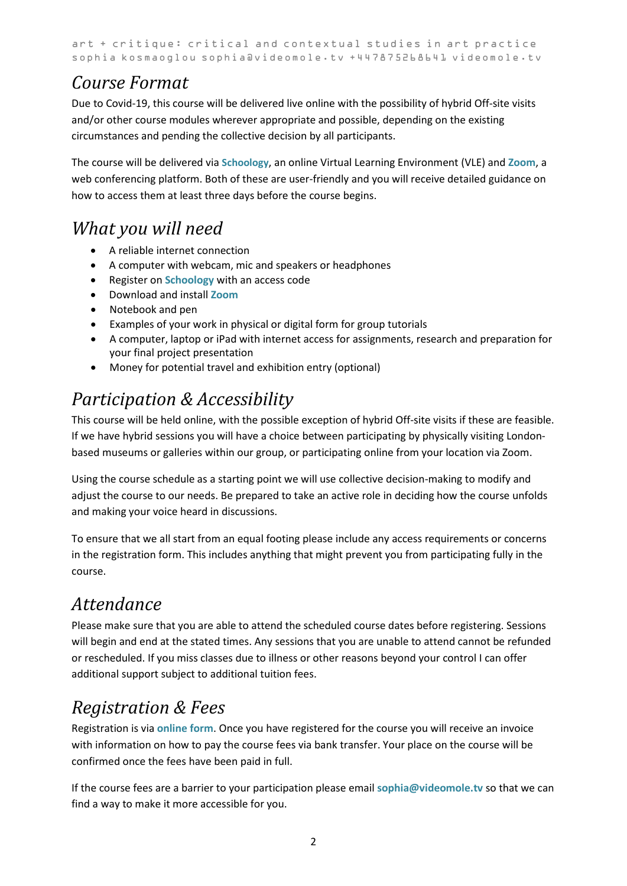#### *Course Format*

Due to Covid-19, this course will be delivered live online with the possibility of hybrid Off-site visits and/or other course modules wherever appropriate and possible, depending on the existing circumstances and pending the collective decision by all participants.

The course will be delivered via **[Schoology](https://www.schoology.com/)**, an online Virtual Learning Environment (VLE) and **[Zoom](https://zoom.us/)**, a web conferencing platform. Both of these are user-friendly and you will receive detailed guidance on how to access them at least three days before the course begins.

#### *What you will need*

- A reliable internet connection
- A computer with webcam, mic and speakers or headphones
- Register on **[Schoology](https://www.schoology.com/)** with an access code
- Download and install **[Zoom](https://zoom.us/)**
- Notebook and pen
- Examples of your work in physical or digital form for group tutorials
- A computer, laptop or iPad with internet access for assignments, research and preparation for your final project presentation
- Money for potential travel and exhibition entry (optional)

## *Participation & Accessibility*

This course will be held online, with the possible exception of hybrid Off-site visits if these are feasible. If we have hybrid sessions you will have a choice between participating by physically visiting Londonbased museums or galleries within our group, or participating online from your location via Zoom.

Using the course schedule as a starting point we will use collective decision-making to modify and adjust the course to our needs. Be prepared to take an active role in deciding how the course unfolds and making your voice heard in discussions.

To ensure that we all start from an equal footing please include any access requirements or concerns in the registration form. This includes anything that might prevent you from participating fully in the course.

### *Attendance*

Please make sure that you are able to attend the scheduled course dates before registering. Sessions will begin and end at the stated times. Any sessions that you are unable to attend cannot be refunded or rescheduled. If you miss classes due to illness or other reasons beyond your control I can offer additional support subject to additional tuition fees.

### *Registration & Fees*

Registration is via **[online form](https://videomole.tv/artncritique/#register)**. Once you have registered for the course you will receive an invoice with information on how to pay the course fees via bank transfer. Your place on the course will be confirmed once the fees have been paid in full.

If the course fees are a barrier to your participation please email **[sophia@videomole.tv](mailto:sophia@videomole.tv)** so that we can find a way to make it more accessible for you.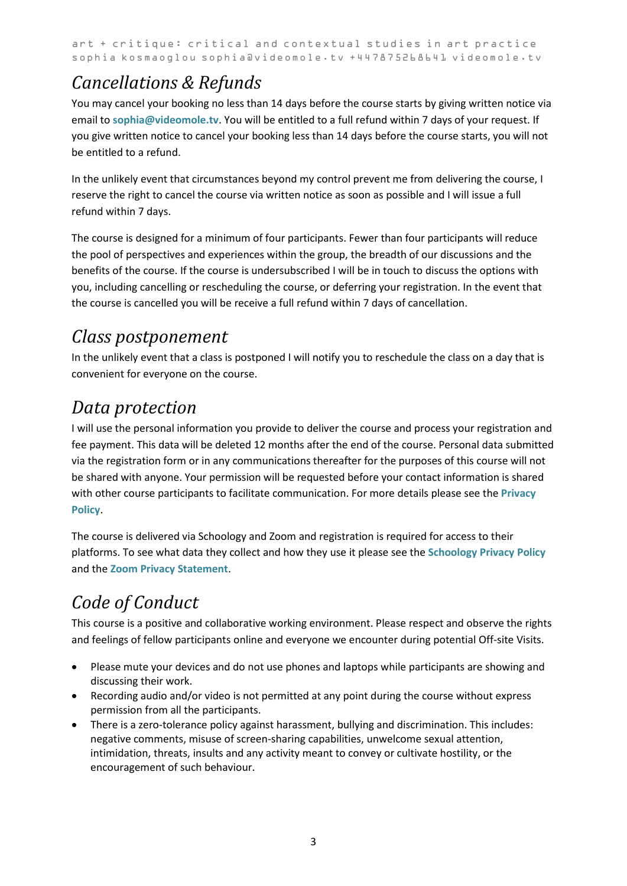### *Cancellations & Refunds*

You may cancel your booking no less than 14 days before the course starts by giving written notice via email to **[sophia@videomole.tv](mailto:sophia@videomole.tv)**. You will be entitled to a full refund within 7 days of your request. If you give written notice to cancel your booking less than 14 days before the course starts, you will not be entitled to a refund.

In the unlikely event that circumstances beyond my control prevent me from delivering the course, I reserve the right to cancel the course via written notice as soon as possible and I will issue a full refund within 7 days.

The course is designed for a minimum of four participants. Fewer than four participants will reduce the pool of perspectives and experiences within the group, the breadth of our discussions and the benefits of the course. If the course is undersubscribed I will be in touch to discuss the options with you, including cancelling or rescheduling the course, or deferring your registration. In the event that the course is cancelled you will be receive a full refund within 7 days of cancellation.

### *Class postponement*

In the unlikely event that a class is postponed I will notify you to reschedule the class on a day that is convenient for everyone on the course.

### *Data protection*

I will use the personal information you provide to deliver the course and process your registration and fee payment. This data will be deleted 12 months after the end of the course. Personal data submitted via the registration form or in any communications thereafter for the purposes of this course will not be shared with anyone. Your permission will be requested before your contact information is shared with other course participants to facilitate communication. For more details please see the **[Privacy](https://videomole.tv/privacy-policy/)  [Policy](https://videomole.tv/privacy-policy/)**.

The course is delivered via Schoology and Zoom and registration is required for access to their platforms. To see what data they collect and how they use it please see the **[Schoology Privacy Policy](https://www.schoology.com/privacy)** and the **Zoom [Privacy Statement](https://zoom.us/privacy)**.

# *Code of Conduct*

This course is a positive and collaborative working environment. Please respect and observe the rights and feelings of fellow participants online and everyone we encounter during potential Off-site Visits.

- Please mute your devices and do not use phones and laptops while participants are showing and discussing their work.
- Recording audio and/or video is not permitted at any point during the course without express permission from all the participants.
- There is a zero-tolerance policy against harassment, bullying and discrimination. This includes: negative comments, misuse of screen-sharing capabilities, unwelcome sexual attention, intimidation, threats, insults and any activity meant to convey or cultivate hostility, or the encouragement of such behaviour.